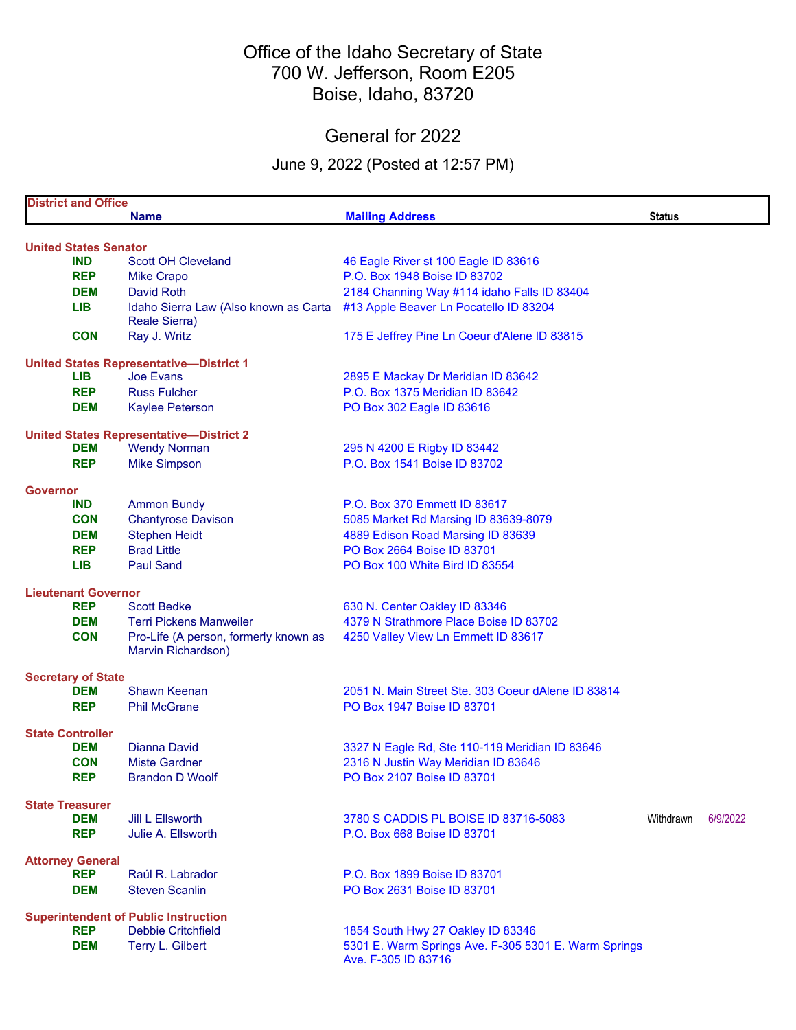## Office of the Idaho Secretary of State 700 W. Jefferson, Room E205 Boise, Idaho, 83720

## General for 2022

### June 9, 2022 (Posted at 12:57 PM)

|                 | <b>District and Office</b>                  |                                                             |                                                                                       |               |          |  |  |
|-----------------|---------------------------------------------|-------------------------------------------------------------|---------------------------------------------------------------------------------------|---------------|----------|--|--|
|                 |                                             | <b>Name</b>                                                 | <b>Mailing Address</b>                                                                | <b>Status</b> |          |  |  |
|                 |                                             |                                                             |                                                                                       |               |          |  |  |
|                 | <b>United States Senator</b>                | <b>Scott OH Cleveland</b>                                   |                                                                                       |               |          |  |  |
|                 | <b>IND</b><br><b>REP</b>                    |                                                             | 46 Eagle River st 100 Eagle ID 83616<br>P.O. Box 1948 Boise ID 83702                  |               |          |  |  |
|                 | <b>DEM</b>                                  | <b>Mike Crapo</b><br><b>David Roth</b>                      |                                                                                       |               |          |  |  |
|                 | <b>LIB</b>                                  |                                                             | 2184 Channing Way #114 idaho Falls ID 83404<br>#13 Apple Beaver Ln Pocatello ID 83204 |               |          |  |  |
|                 |                                             | Idaho Sierra Law (Also known as Carta<br>Reale Sierra)      |                                                                                       |               |          |  |  |
|                 | <b>CON</b>                                  | Ray J. Writz                                                | 175 E Jeffrey Pine Ln Coeur d'Alene ID 83815                                          |               |          |  |  |
|                 |                                             | <b>United States Representative-District 1</b>              |                                                                                       |               |          |  |  |
|                 | LIB                                         | <b>Joe Evans</b>                                            | 2895 E Mackay Dr Meridian ID 83642                                                    |               |          |  |  |
|                 | <b>REP</b>                                  | <b>Russ Fulcher</b>                                         | P.O. Box 1375 Meridian ID 83642                                                       |               |          |  |  |
|                 | <b>DEM</b>                                  | <b>Kaylee Peterson</b>                                      | PO Box 302 Eagle ID 83616                                                             |               |          |  |  |
|                 |                                             | <b>United States Representative-District 2</b>              |                                                                                       |               |          |  |  |
|                 | <b>DEM</b>                                  | <b>Wendy Norman</b>                                         | 295 N 4200 E Rigby ID 83442                                                           |               |          |  |  |
|                 | <b>REP</b>                                  | <b>Mike Simpson</b>                                         | P.O. Box 1541 Boise ID 83702                                                          |               |          |  |  |
|                 |                                             |                                                             |                                                                                       |               |          |  |  |
| <b>Governor</b> |                                             |                                                             |                                                                                       |               |          |  |  |
|                 | <b>IND</b>                                  | <b>Ammon Bundy</b>                                          | P.O. Box 370 Emmett ID 83617                                                          |               |          |  |  |
|                 | <b>CON</b>                                  | <b>Chantyrose Davison</b>                                   | 5085 Market Rd Marsing ID 83639-8079                                                  |               |          |  |  |
|                 | <b>DEM</b>                                  | <b>Stephen Heidt</b>                                        | 4889 Edison Road Marsing ID 83639                                                     |               |          |  |  |
|                 | <b>REP</b>                                  | <b>Brad Little</b>                                          | PO Box 2664 Boise ID 83701                                                            |               |          |  |  |
|                 | <b>LIB</b>                                  | <b>Paul Sand</b>                                            | PO Box 100 White Bird ID 83554                                                        |               |          |  |  |
|                 | <b>Lieutenant Governor</b>                  |                                                             |                                                                                       |               |          |  |  |
|                 | <b>REP</b>                                  | <b>Scott Bedke</b>                                          | 630 N. Center Oakley ID 83346                                                         |               |          |  |  |
|                 | <b>DEM</b>                                  | <b>Terri Pickens Manweiler</b>                              | 4379 N Strathmore Place Boise ID 83702                                                |               |          |  |  |
|                 | <b>CON</b>                                  | Pro-Life (A person, formerly known as<br>Marvin Richardson) | 4250 Valley View Ln Emmett ID 83617                                                   |               |          |  |  |
|                 |                                             |                                                             |                                                                                       |               |          |  |  |
|                 | <b>Secretary of State</b><br>DEM            | <b>Shawn Keenan</b>                                         | 2051 N. Main Street Ste. 303 Coeur dAlene ID 83814                                    |               |          |  |  |
|                 | <b>REP</b>                                  | <b>Phil McGrane</b>                                         | PO Box 1947 Boise ID 83701                                                            |               |          |  |  |
|                 |                                             |                                                             |                                                                                       |               |          |  |  |
|                 | <b>State Controller</b>                     |                                                             |                                                                                       |               |          |  |  |
|                 | <b>DEM</b>                                  | <b>Dianna David</b>                                         | 3327 N Eagle Rd, Ste 110-119 Meridian ID 83646                                        |               |          |  |  |
|                 | <b>CON</b>                                  | <b>Miste Gardner</b>                                        | 2316 N Justin Way Meridian ID 83646                                                   |               |          |  |  |
|                 | <b>REP</b>                                  | <b>Brandon D Woolf</b>                                      | PO Box 2107 Boise ID 83701                                                            |               |          |  |  |
|                 | <b>State Treasurer</b>                      |                                                             |                                                                                       |               |          |  |  |
|                 | <b>DEM</b>                                  | <b>Jill L Ellsworth</b>                                     | 3780 S CADDIS PL BOISE ID 83716-5083                                                  | Withdrawn     | 6/9/2022 |  |  |
|                 | <b>REP</b>                                  | Julie A. Ellsworth                                          | P.O. Box 668 Boise ID 83701                                                           |               |          |  |  |
|                 | <b>Attorney General</b>                     |                                                             |                                                                                       |               |          |  |  |
|                 | <b>REP</b>                                  | Raúl R. Labrador                                            | P.O. Box 1899 Boise ID 83701                                                          |               |          |  |  |
|                 | <b>DEM</b>                                  | <b>Steven Scanlin</b>                                       | PO Box 2631 Boise ID 83701                                                            |               |          |  |  |
|                 |                                             |                                                             |                                                                                       |               |          |  |  |
|                 | <b>Superintendent of Public Instruction</b> |                                                             |                                                                                       |               |          |  |  |
|                 | <b>REP</b>                                  | <b>Debbie Critchfield</b>                                   | 1854 South Hwy 27 Oakley ID 83346                                                     |               |          |  |  |
|                 | <b>DEM</b>                                  | Terry L. Gilbert                                            | 5301 E. Warm Springs Ave. F-305 5301 E. Warm Springs                                  |               |          |  |  |
|                 |                                             |                                                             | Ave. F-305 ID 83716                                                                   |               |          |  |  |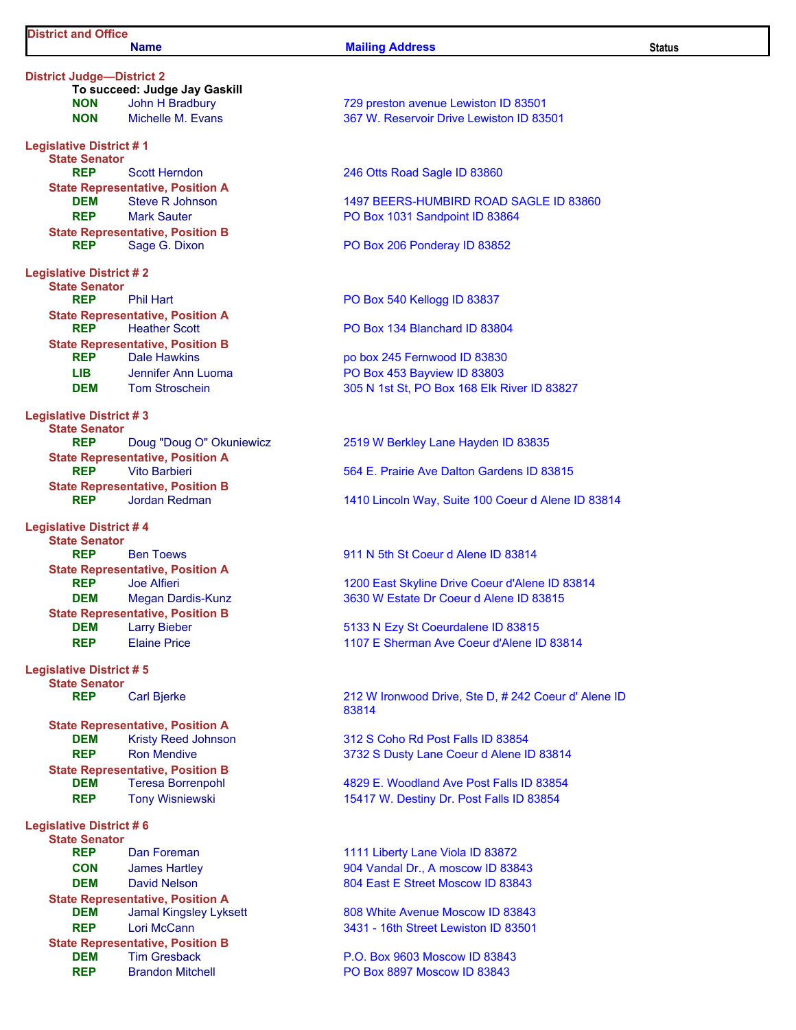#### Name Status and Mailing Address Status Status Status Status

District Judge—District 2 To succeed: Judge Jay Gaskill Legislative District # 1 State Senator REP Scott Herndon 246 Otts Road Sagle ID 83860 State Representative, Position A REP Mark Sauter **National State State PO Box 1031 Sandpoint ID 83864** State Representative, Position B REP Sage G. Dixon PO Box 206 Ponderay ID 83852 Legislative District # 2 State Senator<br>REP Phil Hart PO Box 540 Kellogg ID 83837 State Representative, Position A REP Heather Scott **PO Box 134 Blanchard ID 83804** State Representative, Position B REP Dale Hawkins **REP** Dale Hawkins **po box 245 Fernwood ID 83830** LIB Jennifer Ann Luoma PO Box 453 Bayview ID 83803 Legislative District # 3 State Senator **State Representative, Position A**<br>REP Vito Barbieri State Representative, Position B Legislative District # 4 State Senator REP Ben Toews 911 N 5th St Coeur d Alene ID 83814 State Representative, Position A State Representative, Position B **DEM** Larry Bieber **19th Coeurdalene ID 83815** Legislative District # 5 State Senator State Representative, Position A DEM Kristy Reed Johnson 312 S Coho Rd Post Falls ID 83854 State Representative, Position B Legislative District # 6 State Senator State Representative, Position A **DEM** Jamal Kingsley Lyksett 808 White Avenue Moscow ID 83843 State Representative, Position B **DEM** Tim Gresback **P.O. Box 9603 Moscow ID 83843** 

NON John H Bradbury 729 preston avenue Lewiston ID 83501 NON Michelle M. Evans 367 W. Reservoir Drive Lewiston ID 83501

**DEM** Steve R Johnson 1497 BEERS-HUMBIRD ROAD SAGLE ID 83860

DEM Tom Stroschein 305 N 1st St, PO Box 168 Elk River ID 83827

REP Doug "Doug O" Okuniewicz 2519 W Berkley Lane Hayden ID 83835

REP Vito Barbieri 664 E. Prairie Ave Dalton Gardens ID 83815

REP Jordan Redman 1410 Lincoln Way, Suite 100 Coeur d Alene ID 83814

REP Joe Alfieri 1200 East Skyline Drive Coeur d'Alene ID 83814 DEM Megan Dardis-Kunz 3630 W Estate Dr Coeur d Alene ID 83815

REP Elaine Price 1107 E Sherman Ave Coeur d'Alene ID 83814

REP Carl Bjerke 212 W Ironwood Drive, Ste D, # 242 Coeur d' Alene ID 83814

REP Ron Mendive 3732 S Dusty Lane Coeur d Alene ID 83814

**DEM** Teresa Borrenpohl 4829 E. Woodland Ave Post Falls ID 83854 REP Tony Wisniewski 15417 W. Destiny Dr. Post Falls ID 83854

REP Dan Foreman 1111 Liberty Lane Viola ID 83872 CON James Hartley 904 Vandal Dr., A moscow ID 83843 **DEM** David Nelson **804 East E Street Moscow ID 83843** 

REP Lori McCann 2008 100 2009 100 3431 - 16th Street Lewiston ID 83501

REP Brandon Mitchell PO Box 8897 Moscow ID 83843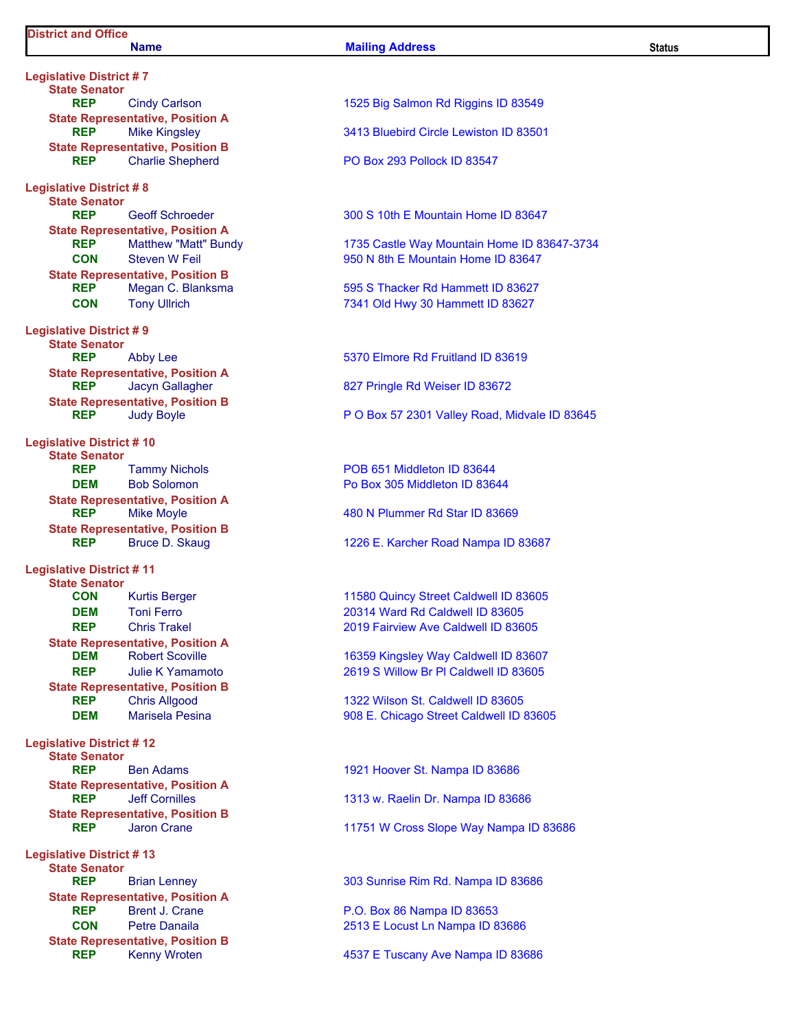#### Name **Mailing Address** Status Status

Legislative District # 7 State Senator State Representative, Position A State Representative, Position B Legislative District # 8 State Senator State Representative, Position A State Representative, Position B Legislative District # 9 State Senator State Representative, Position A State Representative, Position B Legislative District # 10 State Senator State Representative, Position A State Representative, Position B Legislative District # 11 State Senator State Representative, Position A State Representative, Position B Legislative District # 12 State Senator State Representative, Position A State Representative, Position B Legislative District # 13 State Senator State Representative, Position A State Representative, Position B

# REP Cindy Carlson **1525 Big Salmon Rd Riggins ID 83549 REP** Mike Kingsley **3413 Bluebird Circle Lewiston ID 83501** REP Charlie Shepherd PO Box 293 Pollock ID 83547 REP Geoff Schroeder 300 S 10th E Mountain Home ID 83647 REP Matthew "Matt" Bundy 1735 Castle Way Mountain Home ID 83647-3734 CON Steven W Feil 950 N 8th E Mountain Home ID 83647 REP Megan C. Blanksma 695 S Thacker Rd Hammett ID 83627 CON Tony Ullrich 7341 Old Hwy 30 Hammett ID 83627 REP Abby Lee 5370 Elmore Rd Fruitland ID 83619 REP Jacyn Gallagher 827 Pringle Rd Weiser ID 83672 REP Judy Boyle **P O Box 57 2301 Valley Road, Midvale ID 83645** REP Tammy Nichols **POB 651 Middleton ID 83644 DEM** Bob Solomon **Bob Bob Solomon** Po Box 305 Middleton ID 83644 REP Mike Moyle 1992 120 Mike Moyle 1996 120 Mike Moyle 1996 120 Mike Moyle 120 Mike 10 Mike 10 Mike 10 Mike 1 REP Bruce D. Skaug 1226 E. Karcher Road Nampa ID 83687 **CON** Kurtis Berger **11580 Quincy Street Caldwell ID 83605 DEM** Toni Ferro 20314 Ward Rd Caldwell ID 83605 REP Chris Trakel 2019 Fairview Ave Caldwell ID 83605 DEM Robert Scoville 16359 Kingsley Way Caldwell ID 83607 REP Julie K Yamamoto 2619 S Willow Br Pl Caldwell ID 83605 REP Chris Allgood 1322 Wilson St. Caldwell ID 83605 DEM Marisela Pesina 2008 E. Chicago Street Caldwell ID 83605 REP Ben Adams 1921 Hoover St. Nampa ID 83686 REP Jeff Cornilles 1313 w. Raelin Dr. Nampa ID 83686 REP Jaron Crane 11751 W Cross Slope Way Nampa ID 83686 REP Brian Lenney 303 Sunrise Rim Rd. Nampa ID 83686 REP Brent J. Crane P.O. Box 86 Nampa ID 83653 CON Petre Danaila 2513 E Locust Ln Nampa ID 83686

REP Kenny Wroten **1537 E Tuscany Ave Nampa ID 83686**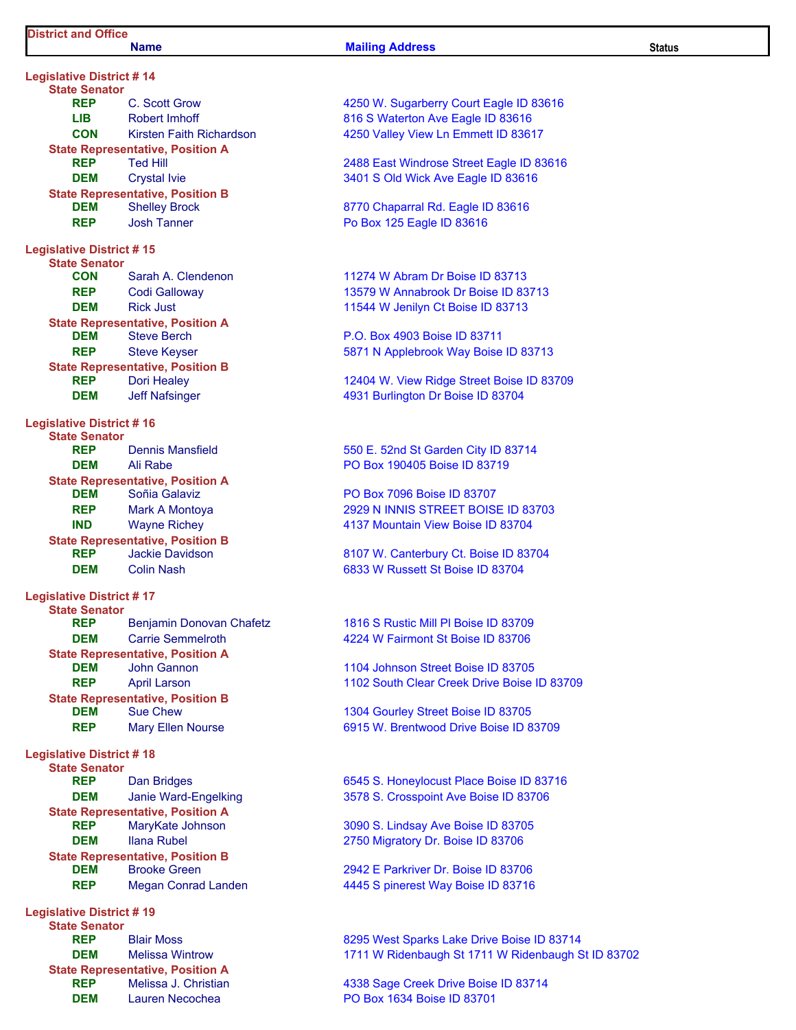#### Name **Mailing Address** Status Status

| <b>Legislative District #14</b>                         |                                                                   |  |  |  |  |
|---------------------------------------------------------|-------------------------------------------------------------------|--|--|--|--|
| <b>State Senator</b><br><b>REP</b>                      |                                                                   |  |  |  |  |
|                                                         | C. Scott Grow<br><b>Robert Imhoff</b>                             |  |  |  |  |
| LIB DI<br><b>CON</b>                                    | Kirsten Faith Richardson                                          |  |  |  |  |
|                                                         | <b>State Representative, Position A</b>                           |  |  |  |  |
| <b>REP</b>                                              | <b>Ted Hill</b>                                                   |  |  |  |  |
| DEM                                                     | <b>Crystal Ivie</b>                                               |  |  |  |  |
|                                                         | <b>State Representative, Position B</b>                           |  |  |  |  |
| DEM                                                     | <b>Shelley Brock</b>                                              |  |  |  |  |
| <b>REP</b>                                              | <b>Josh Tanner</b>                                                |  |  |  |  |
| <b>Legislative District #15</b>                         |                                                                   |  |  |  |  |
| <b>State Senator</b>                                    |                                                                   |  |  |  |  |
| CON                                                     | Sarah A. Clendenon                                                |  |  |  |  |
| <b>REP</b>                                              | <b>Codi Galloway</b>                                              |  |  |  |  |
| <b>DEM</b>                                              | <b>Rick Just</b>                                                  |  |  |  |  |
| DEM                                                     | <b>State Representative, Position A</b><br><b>Steve Berch</b>     |  |  |  |  |
| <b>REP</b>                                              | <b>Steve Keyser</b>                                               |  |  |  |  |
|                                                         | <b>State Representative, Position B</b>                           |  |  |  |  |
| <b>REP</b>                                              | <b>Dori Healey</b>                                                |  |  |  |  |
| <b>DEM</b>                                              | <b>Jeff Nafsinger</b>                                             |  |  |  |  |
|                                                         |                                                                   |  |  |  |  |
| <b>Legislative District #16</b><br><b>State Senator</b> |                                                                   |  |  |  |  |
| <b>REP</b>                                              | Dennis Mansfield                                                  |  |  |  |  |
| DEM                                                     | <b>Ali Rabe</b>                                                   |  |  |  |  |
|                                                         | <b>State Representative, Position A</b>                           |  |  |  |  |
| DEM                                                     | Soñia Galaviz                                                     |  |  |  |  |
| <b>REP</b>                                              | <b>Mark A Montoya</b>                                             |  |  |  |  |
| <b>IND</b>                                              | <b>Wayne Richey</b><br><b>State Representative, Position B</b>    |  |  |  |  |
| <b>REP</b>                                              | <b>Jackie Davidson</b>                                            |  |  |  |  |
| <b>DEM</b>                                              | <b>Colin Nash</b>                                                 |  |  |  |  |
|                                                         |                                                                   |  |  |  |  |
| <b>Legislative District #17</b><br><b>State Senator</b> |                                                                   |  |  |  |  |
| <b>REP</b>                                              | Benjamin Donovan Chafetz                                          |  |  |  |  |
| <b>DEM</b>                                              | <b>Carrie Semmelroth</b>                                          |  |  |  |  |
|                                                         | <b>State Representative, Position A</b>                           |  |  |  |  |
| DEM                                                     | <b>John Gannon</b>                                                |  |  |  |  |
| <b>REP</b>                                              | <b>April Larson</b>                                               |  |  |  |  |
| DEM                                                     | <b>State Representative, Position B</b><br><b>Sue Chew</b>        |  |  |  |  |
| REP                                                     | <b>Mary Ellen Nourse</b>                                          |  |  |  |  |
|                                                         |                                                                   |  |  |  |  |
| <b>Legislative District #18</b>                         |                                                                   |  |  |  |  |
| <b>State Senator</b><br><b>REP</b>                      | <b>Dan Bridges</b>                                                |  |  |  |  |
| <b>DEM</b>                                              | Janie Ward-Engelking                                              |  |  |  |  |
|                                                         | <b>State Representative, Position A</b>                           |  |  |  |  |
| <b>REP</b>                                              | MaryKate Johnson                                                  |  |  |  |  |
| <b>DEM</b>                                              | <b>Ilana Rubel</b>                                                |  |  |  |  |
|                                                         | <b>State Representative, Position B</b>                           |  |  |  |  |
| <b>DEM</b><br><b>REP</b>                                | <b>Brooke Green</b>                                               |  |  |  |  |
|                                                         | <b>Megan Conrad Landen</b>                                        |  |  |  |  |
| <b>Legislative District #19</b>                         |                                                                   |  |  |  |  |
| <b>State Senator</b>                                    |                                                                   |  |  |  |  |
| <b>REP</b><br><b>DEM</b>                                | <b>Blair Moss</b>                                                 |  |  |  |  |
|                                                         | <b>Melissa Wintrow</b><br><b>State Representative, Position A</b> |  |  |  |  |
|                                                         |                                                                   |  |  |  |  |

4250 W. Sugarberry Court Eagle ID 83616 816 S Waterton Ave Eagle ID 83616 4250 Valley View Ln Emmett ID 83617

2488 East Windrose Street Eagle ID 83616 3401 S Old Wick Ave Eagle ID 83616

8770 Chaparral Rd. Eagle ID 83616 Po Box 125 Eagle ID 83616

11274 W Abram Dr Boise ID 83713 13579 W Annabrook Dr Boise ID 83713 11544 W Jenilyn Ct Boise ID 83713

P.O. Box 4903 Boise ID 83711 5871 N Applebrook Way Boise ID 83713

12404 W. View Ridge Street Boise ID 83709 4931 Burlington Dr Boise ID 83704

550 E. 52nd St Garden City ID 83714 PO Box 190405 Boise ID 83719

PO Box 7096 Boise ID 83707 2929 N INNIS STREET BOISE ID 83703 4137 Mountain View Boise ID 83704

8107 W. Canterbury Ct. Boise ID 83704 6833 W Russett St Boise ID 83704

1816 S Rustic Mill Pl Boise ID 83709 4224 W Fairmont St Boise ID 83706

1104 Johnson Street Boise ID 83705 1102 South Clear Creek Drive Boise ID 83709

1304 Gourley Street Boise ID 83705 6915 W. Brentwood Drive Boise ID 83709

6545 S. Honeylocust Place Boise ID 83716 3578 S. Crosspoint Ave Boise ID 83706

3090 S. Lindsay Ave Boise ID 83705 2750 Migratory Dr. Boise ID 83706

2942 E Parkriver Dr. Boise ID 83706 4445 S pinerest Way Boise ID 83716

8295 West Sparks Lake Drive Boise ID 83714 1711 W Ridenbaugh St 1711 W Ridenbaugh St ID 83702

REP Melissa J. Christian 4338 Sage Creek Drive Boise ID 83714 **DEM** Lauren Necochea **PO Box 1634 Boise ID 83701**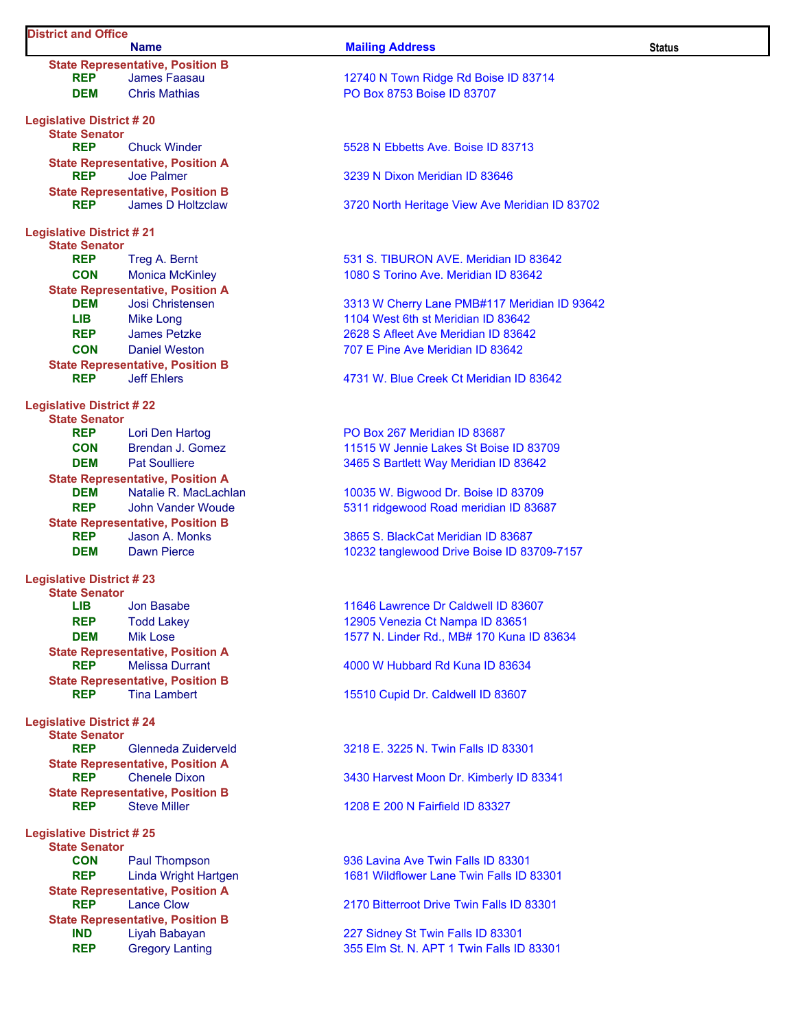| <b>District and Office</b>      | <b>Name</b>                                                  | <b>Mailing Address</b>                                                           | <b>Status</b> |
|---------------------------------|--------------------------------------------------------------|----------------------------------------------------------------------------------|---------------|
|                                 | <b>State Representative, Position B</b>                      |                                                                                  |               |
| <b>REP</b>                      | <b>James Faasau</b>                                          | 12740 N Town Ridge Rd Boise ID 83714                                             |               |
| <b>DEM</b>                      | <b>Chris Mathias</b>                                         | PO Box 8753 Boise ID 83707                                                       |               |
| <b>Legislative District #20</b> |                                                              |                                                                                  |               |
| <b>State Senator</b>            |                                                              |                                                                                  |               |
| <b>REP</b>                      | <b>Chuck Winder</b>                                          | 5528 N Ebbetts Ave. Boise ID 83713                                               |               |
| <b>REP</b>                      | <b>State Representative, Position A</b><br><b>Joe Palmer</b> | 3239 N Dixon Meridian ID 83646                                                   |               |
|                                 | <b>State Representative, Position B</b>                      |                                                                                  |               |
| <b>REP</b>                      | <b>James D Holtzclaw</b>                                     | 3720 North Heritage View Ave Meridian ID 83702                                   |               |
| <b>Legislative District #21</b> |                                                              |                                                                                  |               |
| <b>State Senator</b>            |                                                              |                                                                                  |               |
| <b>REP</b>                      | Treg A. Bernt                                                | 531 S. TIBURON AVE, Meridian ID 83642                                            |               |
| <b>CON</b>                      | <b>Monica McKinley</b>                                       | 1080 S Torino Ave. Meridian ID 83642                                             |               |
|                                 | <b>State Representative, Position A</b>                      |                                                                                  |               |
| <b>DEM</b>                      | Josi Christensen                                             | 3313 W Cherry Lane PMB#117 Meridian ID 93642                                     |               |
| <b>LIB</b>                      | <b>Mike Long</b>                                             | 1104 West 6th st Meridian ID 83642                                               |               |
| <b>REP</b>                      | <b>James Petzke</b>                                          | 2628 S Afleet Ave Meridian ID 83642                                              |               |
| <b>CON</b>                      | <b>Daniel Weston</b>                                         | 707 E Pine Ave Meridian ID 83642                                                 |               |
|                                 | <b>State Representative, Position B</b>                      |                                                                                  |               |
| <b>REP</b>                      | <b>Jeff Ehlers</b>                                           | 4731 W. Blue Creek Ct Meridian ID 83642                                          |               |
| <b>Legislative District #22</b> |                                                              |                                                                                  |               |
| <b>State Senator</b>            |                                                              |                                                                                  |               |
| <b>REP</b>                      | Lori Den Hartog                                              | PO Box 267 Meridian ID 83687                                                     |               |
| <b>CON</b>                      | <b>Brendan J. Gomez</b>                                      | 11515 W Jennie Lakes St Boise ID 83709                                           |               |
| <b>DEM</b>                      | <b>Pat Soulliere</b>                                         | 3465 S Bartlett Way Meridian ID 83642                                            |               |
|                                 | <b>State Representative, Position A</b>                      |                                                                                  |               |
| <b>DEM</b>                      | Natalie R. MacLachlan                                        | 10035 W. Bigwood Dr. Boise ID 83709                                              |               |
| <b>REP</b>                      | John Vander Woude                                            | 5311 ridgewood Road meridian ID 83687                                            |               |
|                                 | <b>State Representative, Position B</b><br>Jason A. Monks    |                                                                                  |               |
| <b>REP</b><br><b>DEM</b>        | <b>Dawn Pierce</b>                                           | 3865 S. BlackCat Meridian ID 83687<br>10232 tanglewood Drive Boise ID 83709-7157 |               |
|                                 |                                                              |                                                                                  |               |
| <b>Legislative District #23</b> |                                                              |                                                                                  |               |
| <b>State Senator</b>            |                                                              |                                                                                  |               |
| LIB                             | Jon Basabe                                                   | 11646 Lawrence Dr Caldwell ID 83607                                              |               |
| <b>REP</b>                      | <b>Todd Lakey</b>                                            | 12905 Venezia Ct Nampa ID 83651                                                  |               |
| <b>DEM</b>                      | <b>Mik Lose</b><br><b>State Representative, Position A</b>   | 1577 N. Linder Rd., MB# 170 Kuna ID 83634                                        |               |
| <b>REP</b>                      | <b>Melissa Durrant</b>                                       | 4000 W Hubbard Rd Kuna ID 83634                                                  |               |
|                                 | <b>State Representative, Position B</b>                      |                                                                                  |               |
| <b>REP</b>                      | <b>Tina Lambert</b>                                          | 15510 Cupid Dr. Caldwell ID 83607                                                |               |
| <b>Legislative District #24</b> |                                                              |                                                                                  |               |
| <b>State Senator</b>            |                                                              |                                                                                  |               |
| <b>REP</b>                      | Glenneda Zuiderveld                                          | 3218 E. 3225 N. Twin Falls ID 83301                                              |               |
|                                 | <b>State Representative, Position A</b>                      |                                                                                  |               |
| <b>REP</b>                      | <b>Chenele Dixon</b>                                         | 3430 Harvest Moon Dr. Kimberly ID 83341                                          |               |
|                                 | <b>State Representative, Position B</b>                      |                                                                                  |               |
| <b>REP</b>                      | <b>Steve Miller</b>                                          | 1208 E 200 N Fairfield ID 83327                                                  |               |
| <b>Legislative District #25</b> |                                                              |                                                                                  |               |
| <b>State Senator</b>            |                                                              |                                                                                  |               |
| <b>CON</b>                      | Paul Thompson                                                | 936 Lavina Ave Twin Falls ID 83301                                               |               |
| <b>REP</b>                      | Linda Wright Hartgen                                         | 1681 Wildflower Lane Twin Falls ID 83301                                         |               |
|                                 | <b>State Representative, Position A</b>                      |                                                                                  |               |
| <b>REP</b>                      | <b>Lance Clow</b>                                            | 2170 Bitterroot Drive Twin Falls ID 83301                                        |               |
|                                 | <b>State Representative, Position B</b>                      |                                                                                  |               |
| <b>IND</b>                      | Liyah Babayan                                                | 227 Sidney St Twin Falls ID 83301                                                |               |
| <b>REP</b>                      | <b>Gregory Lanting</b>                                       | 355 Elm St. N. APT 1 Twin Falls ID 83301                                         |               |
|                                 |                                                              |                                                                                  |               |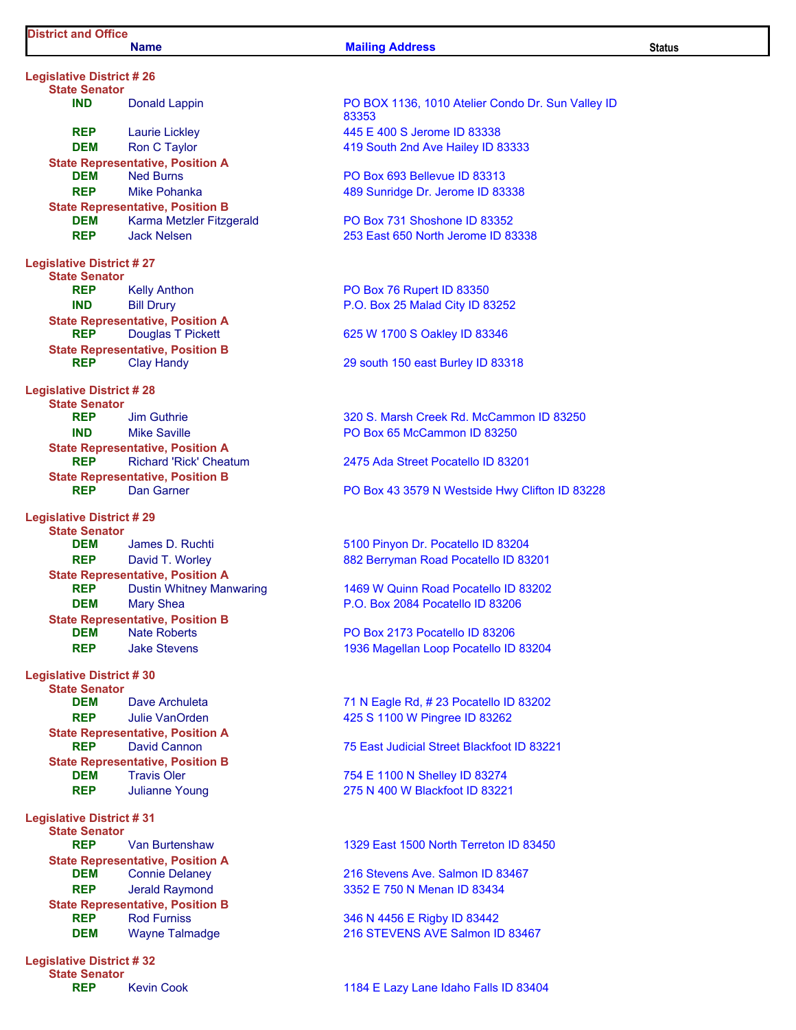#### Name Status and Mailing Address Status Status Status Status

Legislative District # 26 State Senator REP Laurie Lickley **1445 E 400 S Jerome ID 83338 DEM** Ron C Taylor **CEX Assumes A Rough 2nd Ave Hailey ID 83333** State Representative, Position A DEM Ned Burns PO Box 693 Bellevue ID 83313 REP Mike Pohanka 1999 Mike Pohanka 1999 Mike Pohanka 1999 Mike 1999 Mike ID 83338 State Representative, Position B **DEM** Karma Metzler Fitzgerald **PO Box 731 Shoshone ID 83352** REP Jack Nelsen 253 East 650 North Jerome ID 83338 Legislative District # 27 State Senator REP Kelly Anthon PO Box 76 Rupert ID 83350 IND Bill Drury P.O. Box 25 Malad City ID 83252 State Representative, Position A REP Douglas T Pickett 625 W 1700 S Oakley ID 83346 State Representative, Position B REP Clay Handy **Clay Handy** 29 south 150 east Burley ID 83318 Legislative District # 28 State Senator<br>REP **IND** Mike Saville **No. 2018** Mike Saville **PO Box 65 McCammon ID 83250** State Representative, Position A REP Richard 'Rick' Cheatum 2475 Ada Street Pocatello ID 83201 State Representative, Position B Legislative District # 29 State Senator DEM James D. Ruchti 5100 Pinyon Dr. Pocatello ID 83204 REP David T. Worley 882 Berryman Road Pocatello ID 83201 State Representative, Position A REP Dustin Whitney Manwaring 1469 W Quinn Road Pocatello ID 83202 **DEM** Mary Shea **P.O. Box 2084 Pocatello ID 83206** State Representative, Position B DEM Nate Roberts PO Box 2173 Pocatello ID 83206 REP Jake Stevens 1936 Magellan Loop Pocatello ID 83204 Legislative District # 30 State Senator **DEM** Dave Archuleta 71 N Eagle Rd, # 23 Pocatello ID 83202 REP Julie VanOrden 1990 1990 1991 1000 425 S 1100 W Pingree ID 83262 State Representative, Position A<br>REP David Cannon REP David Cannon 75 East Judicial Street Blackfoot ID 83221 State Representative, Position B **DEM** Travis Oler 754 E 1100 N Shelley ID 83274 REP Julianne Young 275 N 400 W Blackfoot ID 83221 Legislative District # 31

State Senator State Representative, Position A State Representative, Position B REP Rod Furniss 346 N 4456 E Rigby ID 83442

Legislative District # 32 State Senator

IND Donald Lappin PO BOX 1136, 1010 Atelier Condo Dr. Sun Valley ID 83353

REP Jim Guthrie 320 S. Marsh Creek Rd. McCammon ID 83250

**REP** Dan Garner **PO Box 43 3579 N Westside Hwy Clifton ID 83228** 

REP Van Burtenshaw 1329 East 1500 North Terreton ID 83450

**DEM** Connie Delaney 216 Stevens Ave. Salmon ID 83467 REP Jerald Raymond 3352 E 750 N Menan ID 83434

**DEM** Wayne Talmadge 216 STEVENS AVE Salmon ID 83467